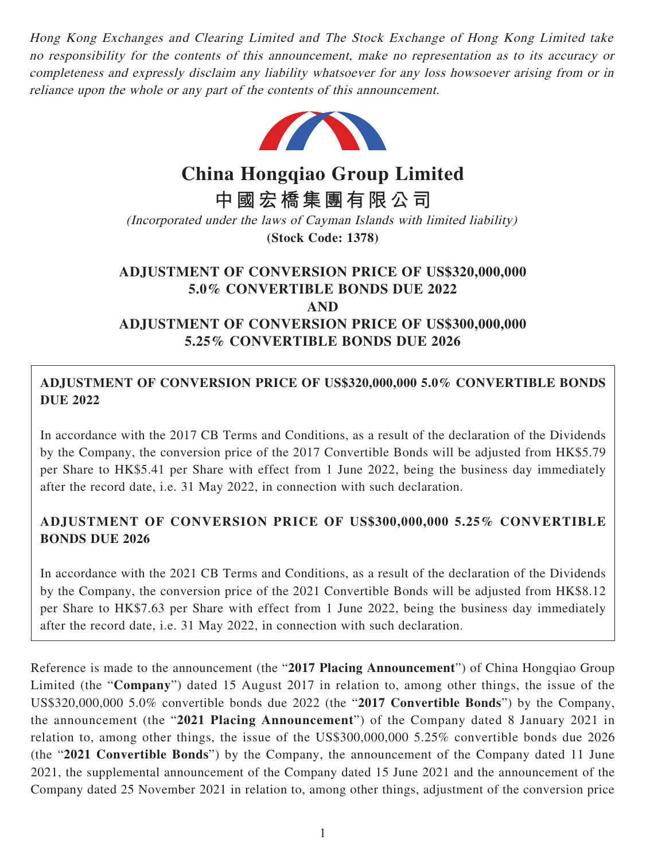Hong Kong Exchanges and Clearing Limited and The Stock Exchange of Hong Kong Limited take no responsibility for the contents of this announcement, make no representation as to its accuracy or completeness and expressly disclaim any liability whatsoever for any loss howsoever arising from or in reliance upon the whole or any part of the contents of this announcement.



**China Hongqiao Group Limited**

**中國宏橋集團有限公司**

(Incorporated under the laws of Cayman Islands with limited liability) **(Stock Code: 1378)**

# **ADJUSTMENT OF CONVERSION PRICE OF US\$320,000,000 5.0% CONVERTIBLE BONDS DUE 2022 AND ADJUSTMENT OF CONVERSION PRICE OF US\$300,000,000 5.25% CONVERTIBLE BONDS DUE 2026**

## **ADJUSTMENT OF CONVERSION PRICE OF US\$320,000,000 5.0% CONVERTIBLE BONDS DUE 2022**

In accordance with the 2017 CB Terms and Conditions, as a result of the declaration of the Dividends by the Company, the conversion price of the 2017 Convertible Bonds will be adjusted from HK\$5.79 per Share to HK\$5.41 per Share with effect from 1 June 2022, being the business day immediately after the record date, i.e. 31 May 2022, in connection with such declaration.

## **ADJUSTMENT OF CONVERSION PRICE OF US\$300,000,000 5.25% CONVERTIBLE BONDS DUE 2026**

In accordance with the 2021 CB Terms and Conditions, as a result of the declaration of the Dividends by the Company, the conversion price of the 2021 Convertible Bonds will be adjusted from HK\$8.12 per Share to HK\$7.63 per Share with effect from 1 June 2022, being the business day immediately after the record date, i.e. 31 May 2022, in connection with such declaration.

Reference is made to the announcement (the "**2017 Placing Announcement**") of China Hongqiao Group Limited (the "**Company**") dated 15 August 2017 in relation to, among other things, the issue of the US\$320,000,000 5.0% convertible bonds due 2022 (the "**2017 Convertible Bonds**") by the Company, the announcement (the "**2021 Placing Announcement**") of the Company dated 8 January 2021 in relation to, among other things, the issue of the US\$300,000,000 5.25% convertible bonds due 2026 (the "**2021 Convertible Bonds**") by the Company, the announcement of the Company dated 11 June 2021, the supplemental announcement of the Company dated 15 June 2021 and the announcement of the Company dated 25 November 2021 in relation to, among other things, adjustment of the conversion price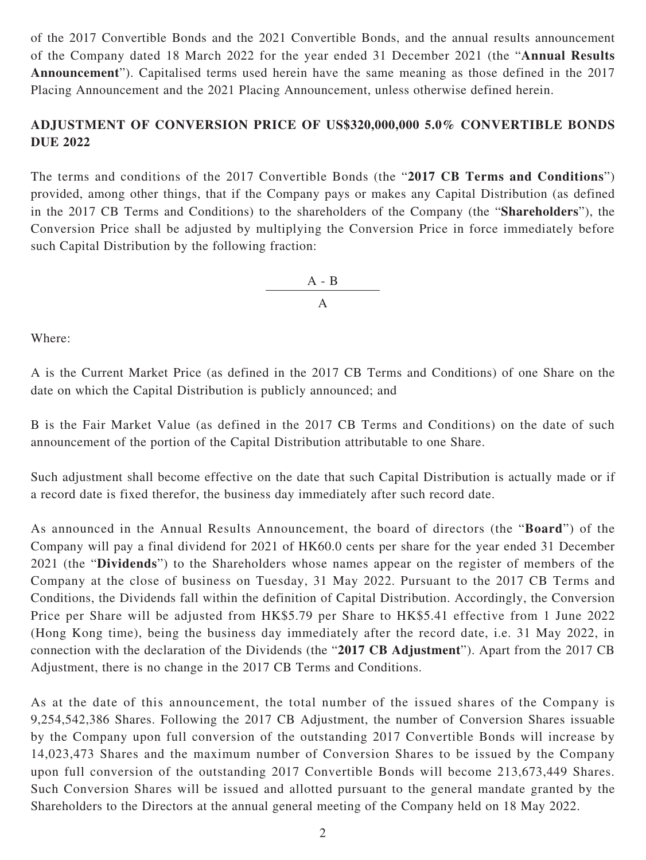of the 2017 Convertible Bonds and the 2021 Convertible Bonds, and the annual results announcement of the Company dated 18 March 2022 for the year ended 31 December 2021 (the "**Annual Results Announcement**"). Capitalised terms used herein have the same meaning as those defined in the 2017 Placing Announcement and the 2021 Placing Announcement, unless otherwise defined herein.

### **ADJUSTMENT OF CONVERSION PRICE OF US\$320,000,000 5.0% CONVERTIBLE BONDS DUE 2022**

The terms and conditions of the 2017 Convertible Bonds (the "**2017 CB Terms and Conditions**") provided, among other things, that if the Company pays or makes any Capital Distribution (as defined in the 2017 CB Terms and Conditions) to the shareholders of the Company (the "**Shareholders**"), the Conversion Price shall be adjusted by multiplying the Conversion Price in force immediately before such Capital Distribution by the following fraction:



Where:

A is the Current Market Price (as defined in the 2017 CB Terms and Conditions) of one Share on the date on which the Capital Distribution is publicly announced; and

B is the Fair Market Value (as defined in the 2017 CB Terms and Conditions) on the date of such announcement of the portion of the Capital Distribution attributable to one Share.

Such adjustment shall become effective on the date that such Capital Distribution is actually made or if a record date is fixed therefor, the business day immediately after such record date.

As announced in the Annual Results Announcement, the board of directors (the "**Board**") of the Company will pay a final dividend for 2021 of HK60.0 cents per share for the year ended 31 December 2021 (the "**Dividends**") to the Shareholders whose names appear on the register of members of the Company at the close of business on Tuesday, 31 May 2022. Pursuant to the 2017 CB Terms and Conditions, the Dividends fall within the definition of Capital Distribution. Accordingly, the Conversion Price per Share will be adjusted from HK\$5.79 per Share to HK\$5.41 effective from 1 June 2022 (Hong Kong time), being the business day immediately after the record date, i.e. 31 May 2022, in connection with the declaration of the Dividends (the "**2017 CB Adjustment**"). Apart from the 2017 CB Adjustment, there is no change in the 2017 CB Terms and Conditions.

As at the date of this announcement, the total number of the issued shares of the Company is 9,254,542,386 Shares. Following the 2017 CB Adjustment, the number of Conversion Shares issuable by the Company upon full conversion of the outstanding 2017 Convertible Bonds will increase by 14,023,473 Shares and the maximum number of Conversion Shares to be issued by the Company upon full conversion of the outstanding 2017 Convertible Bonds will become 213,673,449 Shares. Such Conversion Shares will be issued and allotted pursuant to the general mandate granted by the Shareholders to the Directors at the annual general meeting of the Company held on 18 May 2022.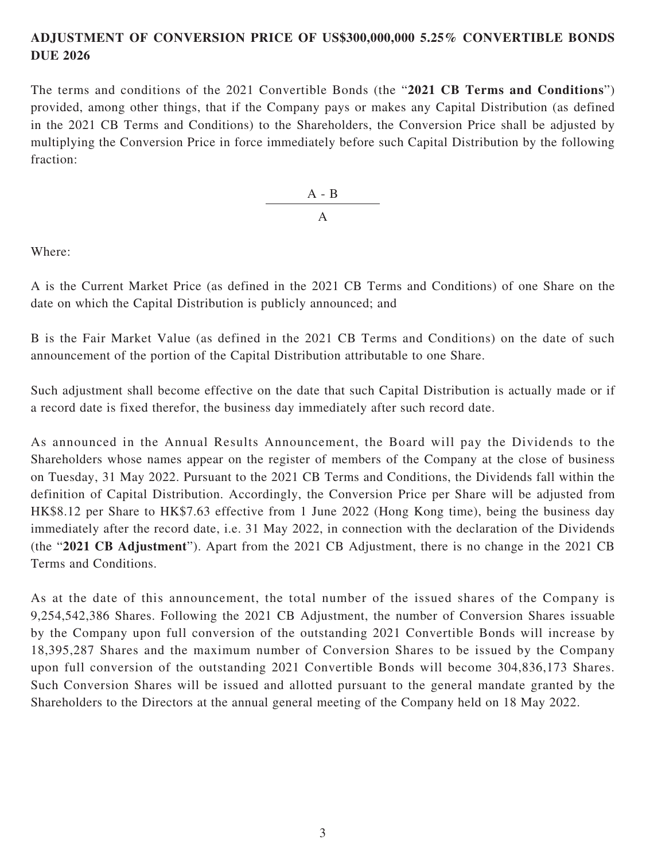### **ADJUSTMENT OF CONVERSION PRICE OF US\$300,000,000 5.25% CONVERTIBLE BONDS DUE 2026**

The terms and conditions of the 2021 Convertible Bonds (the "**2021 CB Terms and Conditions**") provided, among other things, that if the Company pays or makes any Capital Distribution (as defined in the 2021 CB Terms and Conditions) to the Shareholders, the Conversion Price shall be adjusted by multiplying the Conversion Price in force immediately before such Capital Distribution by the following fraction:

> A - B A

Where:

A is the Current Market Price (as defined in the 2021 CB Terms and Conditions) of one Share on the date on which the Capital Distribution is publicly announced; and

B is the Fair Market Value (as defined in the 2021 CB Terms and Conditions) on the date of such announcement of the portion of the Capital Distribution attributable to one Share.

Such adjustment shall become effective on the date that such Capital Distribution is actually made or if a record date is fixed therefor, the business day immediately after such record date.

As announced in the Annual Results Announcement, the Board will pay the Dividends to the Shareholders whose names appear on the register of members of the Company at the close of business on Tuesday, 31 May 2022. Pursuant to the 2021 CB Terms and Conditions, the Dividends fall within the definition of Capital Distribution. Accordingly, the Conversion Price per Share will be adjusted from HK\$8.12 per Share to HK\$7.63 effective from 1 June 2022 (Hong Kong time), being the business day immediately after the record date, i.e. 31 May 2022, in connection with the declaration of the Dividends (the "**2021 CB Adjustment**"). Apart from the 2021 CB Adjustment, there is no change in the 2021 CB Terms and Conditions.

As at the date of this announcement, the total number of the issued shares of the Company is 9,254,542,386 Shares. Following the 2021 CB Adjustment, the number of Conversion Shares issuable by the Company upon full conversion of the outstanding 2021 Convertible Bonds will increase by 18,395,287 Shares and the maximum number of Conversion Shares to be issued by the Company upon full conversion of the outstanding 2021 Convertible Bonds will become 304,836,173 Shares. Such Conversion Shares will be issued and allotted pursuant to the general mandate granted by the Shareholders to the Directors at the annual general meeting of the Company held on 18 May 2022.